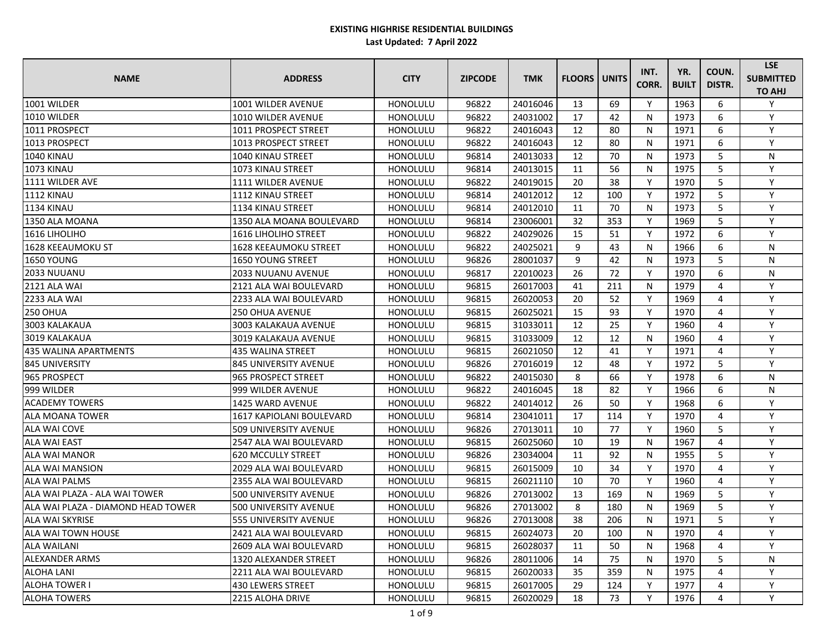| <b>NAME</b>                        | <b>ADDRESS</b>               | <b>CITY</b>     | <b>ZIPCODE</b> | <b>TMK</b> | <b>FLOORS</b> | <b>UNITS</b> | INT.<br>CORR. | YR.<br><b>BUILT</b> | COUN.<br><b>DISTR.</b> | <b>LSE</b><br><b>SUBMITTED</b><br><b>TO AHJ</b> |
|------------------------------------|------------------------------|-----------------|----------------|------------|---------------|--------------|---------------|---------------------|------------------------|-------------------------------------------------|
| 1001 WILDER                        | 1001 WILDER AVENUE           | HONOLULU        | 96822          | 24016046   | 13            | 69           | Y             | 1963                | 6                      | Y                                               |
| 1010 WILDER                        | 1010 WILDER AVENUE           | <b>HONOLULU</b> | 96822          | 24031002   | 17            | 42           | $\mathsf{N}$  | 1973                | 6                      | Y                                               |
| 1011 PROSPECT                      | 1011 PROSPECT STREET         | <b>HONOLULU</b> | 96822          | 24016043   | 12            | 80           | N             | 1971                | 6                      | Y                                               |
| 1013 PROSPECT                      | 1013 PROSPECT STREET         | HONOLULU        | 96822          | 24016043   | 12            | 80           | $\mathsf{N}$  | 1971                | 6                      | Y                                               |
| <b>1040 KINAU</b>                  | <b>1040 KINAU STREET</b>     | <b>HONOLULU</b> | 96814          | 24013033   | 12            | 70           | N             | 1973                | 5                      | N                                               |
| 1073 KINAU                         | 1073 KINAU STREET            | <b>HONOLULU</b> | 96814          | 24013015   | 11            | 56           | $\mathsf{N}$  | 1975                | 5                      | Y                                               |
| 11111 WILDER AVE                   | 1111 WILDER AVENUE           | HONOLULU        | 96822          | 24019015   | 20            | 38           | Y             | 1970                | 5                      | Y                                               |
| <b>1112 KINAU</b>                  | 1112 KINAU STREET            | <b>HONOLULU</b> | 96814          | 24012012   | 12            | 100          | Y             | 1972                | 5                      | Y                                               |
| <b>1134 KINAU</b>                  | 1134 KINAU STREET            | <b>HONOLULU</b> | 96814          | 24012010   | 11            | 70           | $\mathsf{N}$  | 1973                | 5                      | Y                                               |
| 1350 ALA MOANA                     | 1350 ALA MOANA BOULEVARD     | <b>HONOLULU</b> | 96814          | 23006001   | 32            | 353          | Y             | 1969                | 5                      | Y                                               |
| 1616 LIHOLIHO                      | <b>1616 LIHOLIHO STREET</b>  | <b>HONOLULU</b> | 96822          | 24029026   | 15            | 51           | Y             | 1972                | 6                      | Y                                               |
| 1628 KEEAUMOKU ST                  | <b>1628 KEEAUMOKU STREET</b> | <b>HONOLULU</b> | 96822          | 24025021   | 9             | 43           | N             | 1966                | 6                      | N                                               |
| <b>1650 YOUNG</b>                  | <b>1650 YOUNG STREET</b>     | <b>HONOLULU</b> | 96826          | 28001037   | 9             | 42           | N             | 1973                | 5                      | N                                               |
| <b>2033 NUUANU</b>                 | 2033 NUUANU AVENUE           | HONOLULU        | 96817          | 22010023   | 26            | 72           | Y             | 1970                | 6                      | ${\sf N}$                                       |
| <b>2121 ALA WAI</b>                | 2121 ALA WAI BOULEVARD       | HONOLULU        | 96815          | 26017003   | 41            | 211          | N             | 1979                | 4                      | Y                                               |
| 2233 ALA WAI                       | 2233 ALA WAI BOULEVARD       | <b>HONOLULU</b> | 96815          | 26020053   | 20            | 52           | Y             | 1969                | 4                      | Y                                               |
| <b>250 OHUA</b>                    | <b>250 OHUA AVENUE</b>       | <b>HONOLULU</b> | 96815          | 26025021   | 15            | 93           | Y             | 1970                | 4                      | Y                                               |
| 3003 KALAKAUA                      | 3003 KALAKAUA AVENUE         | <b>HONOLULU</b> | 96815          | 31033011   | 12            | 25           | Y             | 1960                | 4                      | Y                                               |
| 3019 KALAKAUA                      | 3019 KALAKAUA AVENUE         | <b>HONOLULU</b> | 96815          | 31033009   | 12            | 12           | $\mathsf{N}$  | 1960                | 4                      | Y                                               |
| 435 WALINA APARTMENTS              | <b>435 WALINA STREET</b>     | <b>HONOLULU</b> | 96815          | 26021050   | 12            | 41           | Y             | 1971                | 4                      | Y                                               |
| <b>845 UNIVERSITY</b>              | 845 UNIVERSITY AVENUE        | <b>HONOLULU</b> | 96826          | 27016019   | 12            | 48           | Y             | 1972                | 5                      | Y                                               |
| 965 PROSPECT                       | 965 PROSPECT STREET          | <b>HONOLULU</b> | 96822          | 24015030   | 8             | 66           | Y             | 1978                | 6                      | N                                               |
| 999 WILDER                         | 999 WILDER AVENUE            | <b>HONOLULU</b> | 96822          | 24016045   | 18            | 82           | Y             | 1966                | 6                      | N                                               |
| <b>ACADEMY TOWERS</b>              | 1425 WARD AVENUE             | HONOLULU        | 96822          | 24014012   | 26            | 50           | Y             | 1968                | 6                      | Y                                               |
| <b>ALA MOANA TOWER</b>             | 1617 KAPIOLANI BOULEVARD     | <b>HONOLULU</b> | 96814          | 23041011   | 17            | 114          | Y             | 1970                | 4                      | Y                                               |
| <b>ALA WAI COVE</b>                | <b>509 UNIVERSITY AVENUE</b> | <b>HONOLULU</b> | 96826          | 27013011   | 10            | 77           | Y             | 1960                | 5                      | Y                                               |
| <b>ALA WAI EAST</b>                | 2547 ALA WAI BOULEVARD       | <b>HONOLULU</b> | 96815          | 26025060   | 10            | 19           | N             | 1967                | 4                      | Υ                                               |
| <b>ALA WAI MANOR</b>               | <b>620 MCCULLY STREET</b>    | <b>HONOLULU</b> | 96826          | 23034004   | 11            | 92           | N             | 1955                | 5                      | Y                                               |
| <b>ALA WAI MANSION</b>             | 2029 ALA WAI BOULEVARD       | HONOLULU        | 96815          | 26015009   | 10            | 34           | Y             | 1970                | 4                      | Υ                                               |
| <b>ALA WAI PALMS</b>               | 2355 ALA WAI BOULEVARD       | <b>HONOLULU</b> | 96815          | 26021110   | 10            | 70           | Y             | 1960                | 4                      | Y                                               |
| ALA WAI PLAZA - ALA WAI TOWER      | 500 UNIVERSITY AVENUE        | <b>HONOLULU</b> | 96826          | 27013002   | 13            | 169          | N             | 1969                | 5.                     | Y                                               |
| ALA WAI PLAZA - DIAMOND HEAD TOWER | 500 UNIVERSITY AVENUE        | <b>HONOLULU</b> | 96826          | 27013002   | 8             | 180          | N             | 1969                | 5                      | Y                                               |
| <b>ALA WAI SKYRISE</b>             | 555 UNIVERSITY AVENUE        | <b>HONOLULU</b> | 96826          | 27013008   | 38            | 206          | N             | 1971                | 5                      | Y                                               |
| <b>ALA WAI TOWN HOUSE</b>          | 2421 ALA WAI BOULEVARD       | <b>HONOLULU</b> | 96815          | 26024073   | 20            | 100          | N             | 1970                | 4                      | Y                                               |
| <b>ALA WAILANI</b>                 | 2609 ALA WAI BOULEVARD       | <b>HONOLULU</b> | 96815          | 26028037   | 11            | 50           | N             | 1968                | 4                      | Y                                               |
| <b>ALEXANDER ARMS</b>              | 1320 ALEXANDER STREET        | <b>HONOLULU</b> | 96826          | 28011006   | 14            | 75           | N             | 1970                | 5.                     | N                                               |
| <b>ALOHA LANI</b>                  | 2211 ALA WAI BOULEVARD       | <b>HONOLULU</b> | 96815          | 26020033   | 35            | 359          | N             | 1975                | 4                      | Y                                               |
| <b>ALOHA TOWER I</b>               | <b>430 LEWERS STREET</b>     | <b>HONOLULU</b> | 96815          | 26017005   | 29            | 124          | Y             | 1977                | 4                      | Y                                               |
| <b>ALOHA TOWERS</b>                | 2215 ALOHA DRIVE             | <b>HONOLULU</b> | 96815          | 26020029   | 18            | 73           | Y             | 1976                | 4                      | Y                                               |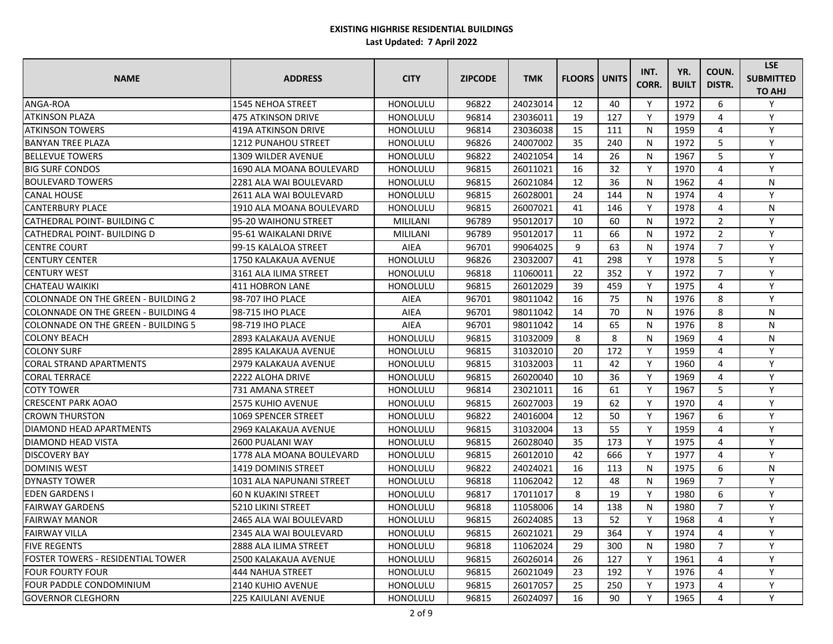| <b>NAME</b>                              | <b>ADDRESS</b>              | <b>CITY</b>     | <b>ZIPCODE</b> | <b>TMK</b> | <b>FLOORS</b> | <b>UNITS</b> | INT.<br>CORR. | YR.<br><b>BUILT</b> | COUN.<br>DISTR. | <b>LSE</b><br><b>SUBMITTED</b><br><b>TO AHJ</b> |
|------------------------------------------|-----------------------------|-----------------|----------------|------------|---------------|--------------|---------------|---------------------|-----------------|-------------------------------------------------|
| ANGA-ROA                                 | <b>1545 NEHOA STREET</b>    | <b>HONOLULU</b> | 96822          | 24023014   | 12            | 40           | Y             | 1972                | 6               | Y                                               |
| <b>ATKINSON PLAZA</b>                    | 475 ATKINSON DRIVE          | <b>HONOLULU</b> | 96814          | 23036011   | 19            | 127          | Y             | 1979                | 4               | Y                                               |
| <b>ATKINSON TOWERS</b>                   | 419A ATKINSON DRIVE         | <b>HONOLULU</b> | 96814          | 23036038   | 15            | 111          | N             | 1959                | 4               | Y                                               |
| <b>BANYAN TREE PLAZA</b>                 | <b>1212 PUNAHOU STREET</b>  | <b>HONOLULU</b> | 96826          | 24007002   | 35            | 240          | N             | 1972                | 5               | Y                                               |
| <b>BELLEVUE TOWERS</b>                   | <b>1309 WILDER AVENUE</b>   | <b>HONOLULU</b> | 96822          | 24021054   | 14            | 26           | N             | 1967                | 5               | Y                                               |
| <b>BIG SURF CONDOS</b>                   | 1690 ALA MOANA BOULEVARD    | <b>HONOLULU</b> | 96815          | 26011021   | 16            | 32           | Y             | 1970                | 4               | Y                                               |
| IBOULEVARD TOWERS                        | 2281 ALA WAI BOULEVARD      | <b>HONOLULU</b> | 96815          | 26021084   | 12            | 36           | N             | 1962                | 4               | N                                               |
| <b>CANAL HOUSE</b>                       | 2611 ALA WAI BOULEVARD      | <b>HONOLULU</b> | 96815          | 26028001   | 24            | 144          | N             | 1974                | 4               | Y                                               |
| <b>CANTERBURY PLACE</b>                  | 1910 ALA MOANA BOULEVARD    | <b>HONOLULU</b> | 96815          | 26007021   | 41            | 146          | Y             | 1978                | 4               | N                                               |
| CATHEDRAL POINT- BUILDING C              | 95-20 WAIHONU STREET        | MILILANI        | 96789          | 95012017   | 10            | 60           | N             | 1972                | $\overline{2}$  | Y                                               |
| CATHEDRAL POINT- BUILDING D              | 95-61 WAIKALANI DRIVE       | MILILANI        | 96789          | 95012017   | 11            | 66           | N             | 1972                | $2^{\circ}$     | Y                                               |
| <b>CENTRE COURT</b>                      | 199-15 KALALOA STREET       | <b>AIEA</b>     | 96701          | 99064025   | 9             | 63           | N             | 1974                | $\overline{7}$  | Y                                               |
| ICENTURY CENTER                          | 1750 KALAKAUA AVENUE        | HONOLULU        | 96826          | 23032007   | 41            | 298          | Y             | 1978                | 5               | $\mathsf{v}$                                    |
| <b>CENTURY WEST</b>                      | 3161 ALA ILIMA STREET       | <b>HONOLULU</b> | 96818          | 11060011   | 22            | 352          | Y             | 1972                | $\overline{7}$  | Y                                               |
| <b>CHATEAU WAIKIKI</b>                   | 411 HOBRON LANE             | <b>HONOLULU</b> | 96815          | 26012029   | 39            | 459          | Y             | 1975                | 4               | Y                                               |
| COLONNADE ON THE GREEN - BUILDING 2      | 98-707 IHO PLACE            | <b>AIEA</b>     | 96701          | 98011042   | 16            | 75           | N             | 1976                | 8               | Y                                               |
| ICOLONNADE ON THE GREEN - BUILDING 4     | 98-715 IHO PLACE            | <b>AIEA</b>     | 96701          | 98011042   | 14            | 70           | N             | 1976                | 8               | N                                               |
| COLONNADE ON THE GREEN - BUILDING 5      | 98-719 IHO PLACE            | <b>AIEA</b>     | 96701          | 98011042   | 14            | 65           | N             | 1976                | 8               | N                                               |
| <b>COLONY BEACH</b>                      | 2893 KALAKAUA AVENUE        | HONOLULU        | 96815          | 31032009   | 8             | 8            | N             | 1969                | 4               | N                                               |
| <b>COLONY SURF</b>                       | <b>2895 KALAKAUA AVENUE</b> | <b>HONOLULU</b> | 96815          | 31032010   | 20            | 172          | Y             | 1959                | 4               | Y                                               |
| <b>CORAL STRAND APARTMENTS</b>           | 2979 KALAKAUA AVENUE        | <b>HONOLULU</b> | 96815          | 31032003   | 11            | 42           | Y             | 1960                | 4               | Y                                               |
| <b>CORAL TERRACE</b>                     | 2222 ALOHA DRIVE            | <b>HONOLULU</b> | 96815          | 26020040   | 10            | 36           | Y             | 1969                | 4               | Y                                               |
| <b>COTY TOWER</b>                        | 731 AMANA STREET            | <b>HONOLULU</b> | 96814          | 23021011   | 16            | 61           | Y             | 1967                | 5               | Y                                               |
| <b>CRESCENT PARK AOAO</b>                | <b>2575 KUHIO AVENUE</b>    | <b>HONOLULU</b> | 96815          | 26027003   | 19            | 62           | Y             | 1970                | 4               | Y                                               |
| <b>CROWN THURSTON</b>                    | 1069 SPENCER STREET         | <b>HONOLULU</b> | 96822          | 24016004   | 12            | 50           | Y             | 1967                | 6               | Y                                               |
| <b>DIAMOND HEAD APARTMENTS</b>           | 2969 KALAKAUA AVENUE        | <b>HONOLULU</b> | 96815          | 31032004   | 13            | 55           | Y             | 1959                | 4               | Y                                               |
| IDIAMOND HEAD VISTA                      | 2600 PUALANI WAY            | <b>HONOLULU</b> | 96815          | 26028040   | 35            | 173          | Y             | 1975                | 4               | Y                                               |
| <b>DISCOVERY BAY</b>                     | 1778 ALA MOANA BOULEVARD    | <b>HONOLULU</b> | 96815          | 26012010   | 42            | 666          | Υ             | 1977                | 4               | Y                                               |
| <b>DOMINIS WEST</b>                      | 1419 DOMINIS STREET         | HONOLULU        | 96822          | 24024021   | 16            | 113          | N             | 1975                | 6               | N                                               |
| <b>DYNASTY TOWER</b>                     | 1031 ALA NAPUNANI STREET    | <b>HONOLULU</b> | 96818          | 11062042   | 12            | 48           | N             | 1969                |                 | V                                               |
| <b>EDEN GARDENS I</b>                    | <b>60 N KUAKINI STREET</b>  | <b>HONOLULU</b> | 96817          | 17011017   | 8             | 19           | Y             | 1980                | 6               | Y                                               |
| <b>FAIRWAY GARDENS</b>                   | 5210 LIKINI STREET          | <b>HONOLULU</b> | 96818          | 11058006   | 14            | 138          | N             | 1980                |                 | Υ                                               |
| <b>FAIRWAY MANOR</b>                     | 2465 ALA WAI BOULEVARD      | <b>HONOLULU</b> | 96815          | 26024085   | 13            | 52           | Υ             | 1968                | 4               | Y                                               |
| <b>FAIRWAY VILLA</b>                     | 2345 ALA WAI BOULEVARD      | <b>HONOLULU</b> | 96815          | 26021021   | 29            | 364          | Y             | 1974                | 4               | Y                                               |
| <b>FIVE REGENTS</b>                      | 2888 ALA ILIMA STREET       | <b>HONOLULU</b> | 96818          | 11062024   | 29            | 300          | N             | 1980                | $\overline{7}$  | Y                                               |
| <b>FOSTER TOWERS - RESIDENTIAL TOWER</b> | 2500 KALAKAUA AVENUE        | <b>HONOLULU</b> | 96815          | 26026014   | 26            | 127          | Y             | 1961                | 4               | Y                                               |
| <b>FOUR FOURTY FOUR</b>                  | 444 NAHUA STREET            | <b>HONOLULU</b> | 96815          | 26021049   | 23            | 192          | Y             | 1976                | 4               | Υ                                               |
| <b>FOUR PADDLE CONDOMINIUM</b>           | 2140 KUHIO AVENUE           | <b>HONOLULU</b> | 96815          | 26017057   | 25            | 250          | Y             | 1973                | 4               | Y                                               |
| <b>GOVERNOR CLEGHORN</b>                 | 225 KAIULANI AVENUE         | <b>HONOLULU</b> | 96815          | 26024097   | 16            | 90           | Y             | 1965                | 4               | Y                                               |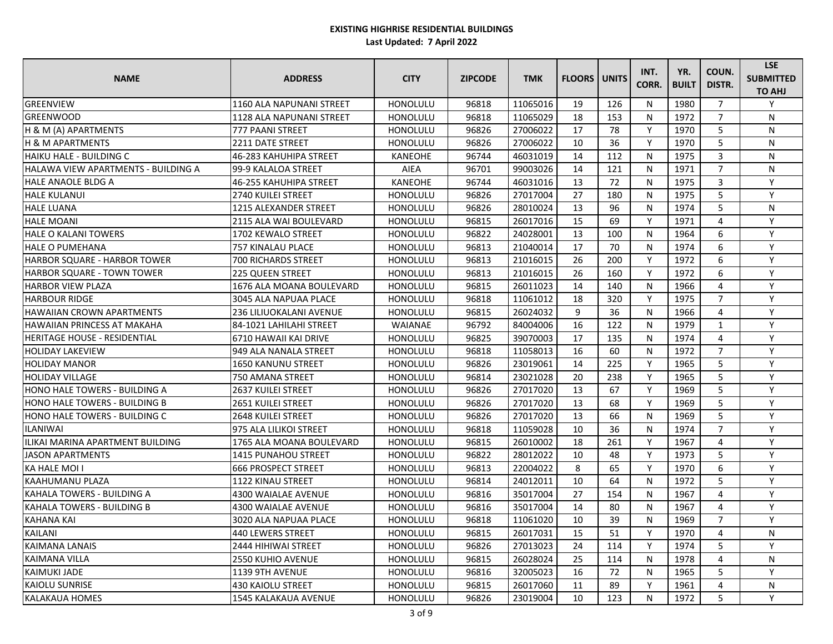| <b>NAME</b>                          | <b>ADDRESS</b>                 | <b>CITY</b>     | <b>ZIPCODE</b> | <b>TMK</b> | <b>FLOORS   UNITS</b> |     | INT.<br>CORR. | YR.<br><b>BUILT</b> | COUN.<br>DISTR. | <b>LSE</b><br><b>SUBMITTED</b><br><b>TO AHJ</b> |
|--------------------------------------|--------------------------------|-----------------|----------------|------------|-----------------------|-----|---------------|---------------------|-----------------|-------------------------------------------------|
| <b>GREENVIEW</b>                     | 1160 ALA NAPUNANI STREET       | HONOLULU        | 96818          | 11065016   | 19                    | 126 | N             | 1980                | $\overline{7}$  | Y                                               |
| <b>GREENWOOD</b>                     | 1128 ALA NAPUNANI STREET       | HONOLULU        | 96818          | 11065029   | 18                    | 153 | N             | 1972                | $\overline{7}$  | N                                               |
| H & M (A) APARTMENTS                 | 777 PAANI STREET               | HONOLULU        | 96826          | 27006022   | 17                    | 78  | Y             | 1970                | 5               | N                                               |
| <b>H &amp; M APARTMENTS</b>          | 2211 DATE STREET               | <b>HONOLULU</b> | 96826          | 27006022   | 10                    | 36  | Y             | 1970                | 5               | N                                               |
| HAIKU HALE - BUILDING C              | 46-283 KAHUHIPA STREET         | <b>KANEOHE</b>  | 96744          | 46031019   | 14                    | 112 | N             | 1975                | 3               | N                                               |
| HALAWA VIEW APARTMENTS - BUILDING A  | 99-9 KALALOA STREET            | AIEA            | 96701          | 99003026   | 14                    | 121 | N             | 1971                | $\overline{7}$  | N                                               |
| <b>HALE ANAOLE BLDG A</b>            | 46-255 KAHUHIPA STREET         | <b>KANEOHE</b>  | 96744          | 46031016   | 13                    | 72  | N             | 1975                | 3               | Y                                               |
| <b>HALE KULANUI</b>                  | <b>2740 KUILEI STREET</b>      | HONOLULU        | 96826          | 27017004   | 27                    | 180 | N             | 1975                | 5               | Y                                               |
| <b>HALE LUANA</b>                    | 1215 ALEXANDER STREET          | HONOLULU        | 96826          | 28010024   | 13                    | 96  | N             | 1974                | 5               | N                                               |
| <b>HALE MOANI</b>                    | 2115 ALA WAI BOULEVARD         | HONOLULU        | 96815          | 26017016   | 15                    | 69  | Y             | 1971                | 4               | Y                                               |
| <b>HALE O KALANI TOWERS</b>          | 1702 KEWALO STREET             | HONOLULU        | 96822          | 24028001   | 13                    | 100 | N             | 1964                | 6               | Y                                               |
| <b>HALE O PUMEHANA</b>               | 757 KINALAU PLACE              | HONOLULU        | 96813          | 21040014   | 17                    | 70  | N             | 1974                | 6               | Y                                               |
| HARBOR SQUARE - HARBOR TOWER         | <b>700 RICHARDS STREET</b>     | HONOLULU        | 96813          | 21016015   | 26                    | 200 | Y             | 1972                | 6               | Y                                               |
| HARBOR SQUARE - TOWN TOWER           | <b>225 QUEEN STREET</b>        | HONOLULU        | 96813          | 21016015   | 26                    | 160 | Y             | 1972                | 6               | Y                                               |
| <b>HARBOR VIEW PLAZA</b>             | 1676 ALA MOANA BOULEVARD       | HONOLULU        | 96815          | 26011023   | 14                    | 140 | N             | 1966                | 4               | Y                                               |
| <b>HARBOUR RIDGE</b>                 | 3045 ALA NAPUAA PLACE          | HONOLULU        | 96818          | 11061012   | 18                    | 320 | Y             | 1975                | $\overline{7}$  | Y                                               |
| <b>HAWAIIAN CROWN APARTMENTS</b>     | <b>236 LILIUOKALANI AVENUE</b> | <b>HONOLULU</b> | 96815          | 26024032   | 9                     | 36  | N             | 1966                | 4               | Y                                               |
| <b>HAWAIIAN PRINCESS AT MAKAHA</b>   | 84-1021 LAHILAHI STREET        | WAIANAE         | 96792          | 84004006   | 16                    | 122 | N             | 1979                | $\mathbf{1}$    | Y                                               |
| <b>HERITAGE HOUSE - RESIDENTIAL</b>  | 6710 HAWAII KAI DRIVE          | HONOLULU        | 96825          | 39070003   | 17                    | 135 | N             | 1974                | 4               | Y                                               |
| <b>HOLIDAY LAKEVIEW</b>              | 949 ALA NANALA STREET          | HONOLULU        | 96818          | 11058013   | 16                    | 60  | N             | 1972                | $\overline{7}$  | Y                                               |
| <b>HOLIDAY MANOR</b>                 | 1650 KANUNU STREET             | HONOLULU        | 96826          | 23019061   | 14                    | 225 | Y             | 1965                | 5               | Y                                               |
| <b>HOLIDAY VILLAGE</b>               | 750 AMANA STREET               | HONOLULU        | 96814          | 23021028   | 20                    | 238 | Y             | 1965                | 5               | Y                                               |
| <b>HONO HALE TOWERS - BUILDING A</b> | <b>2637 KUILEI STREET</b>      | HONOLULU        | 96826          | 27017020   | 13                    | 67  | Y             | 1969                | 5               | Y                                               |
| HONO HALE TOWERS - BUILDING B        | 2651 KUILEI STREET             | HONOLULU        | 96826          | 27017020   | 13                    | 68  | Y             | 1969                | 5               | Y                                               |
| HONO HALE TOWERS - BUILDING C        | <b>2648 KUILEI STREET</b>      | HONOLULU        | 96826          | 27017020   | 13                    | 66  | N             | 1969                | 5               | Y                                               |
| <b>ILANIWAI</b>                      | 975 ALA LILIKOI STREET         | HONOLULU        | 96818          | 11059028   | 10                    | 36  | N             | 1974                | $\overline{7}$  | Y                                               |
| ILIKAI MARINA APARTMENT BUILDING     | 1765 ALA MOANA BOULEVARD       | HONOLULU        | 96815          | 26010002   | 18                    | 261 | Y             | 1967                | 4               | Y                                               |
| <b>JASON APARTMENTS</b>              | 1415 PUNAHOU STREET            | <b>HONOLULU</b> | 96822          | 28012022   | 10                    | 48  | Y             | 1973                | 5               | Y                                               |
| <b>KA HALE MOI I</b>                 | <b>666 PROSPECT STREET</b>     | HONOLULU        | 96813          | 22004022   | 8                     | 65  | Υ             | 1970                | 6               | Y                                               |
| KAAHUMANU PLAZA                      | 1122 KINAU STREET              | HONOLULU        | 96814          | 24012011   | 10                    | 64  | N             | 1972                | 5               | Y                                               |
| KAHALA TOWERS - BUILDING A           | 4300 WAIALAE AVENUE            | HONOLULU        | 96816          | 35017004   | 27                    | 154 | N             | 1967                | 4               | Y                                               |
| KAHALA TOWERS - BUILDING B           | 4300 WAIALAE AVENUE            | HONOLULU        | 96816          | 35017004   | 14                    | 80  | N             | 1967                | 4               | Y                                               |
| KAHANA KAI                           | 3020 ALA NAPUAA PLACE          | <b>HONOLULU</b> | 96818          | 11061020   | 10                    | 39  | N             | 1969                |                 | Υ                                               |
| <b>KAILANI</b>                       | 440 LEWERS STREET              | HONOLULU        | 96815          | 26017031   | 15                    | 51  | Y             | 1970                | 4               | N                                               |
| <b>KAIMANA LANAIS</b>                | 2444 HIHIWAI STREET            | <b>HONOLULU</b> | 96826          | 27013023   | 24                    | 114 | Y             | 1974                | 5               | Υ                                               |
| <b>KAIMANA VILLA</b>                 | 2550 KUHIO AVENUE              | HONOLULU        | 96815          | 26028024   | 25                    | 114 | N             | 1978                | 4               | N                                               |
| <b>KAIMUKI JADE</b>                  | 1139 9TH AVENUE                | HONOLULU        | 96816          | 32005023   | 16                    | 72  | N             | 1965                | 5               | Y                                               |
| <b>KAIOLU SUNRISE</b>                | <b>430 KAIOLU STREET</b>       | HONOLULU        | 96815          | 26017060   | 11                    | 89  | Y             | 1961                |                 | N                                               |
| <b>KALAKAUA HOMES</b>                | <b>1545 KALAKAUA AVENUE</b>    | HONOLULU        | 96826          | 23019004   | 10                    | 123 | N             | 1972                | 5               | Y                                               |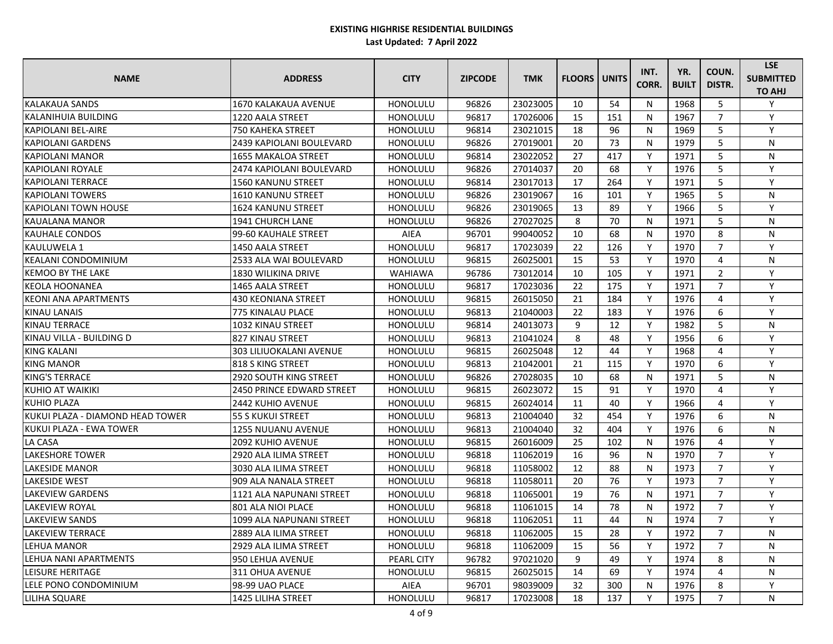| <b>NAME</b>                      | <b>ADDRESS</b>                 | <b>CITY</b>     | <b>ZIPCODE</b> | <b>TMK</b> | <b>FLOORS   UNITS</b> |     | INT.<br>CORR. | YR.<br><b>BUILT</b> | COUN.<br>DISTR. | <b>LSE</b><br><b>SUBMITTED</b><br><b>TO AHJ</b> |
|----------------------------------|--------------------------------|-----------------|----------------|------------|-----------------------|-----|---------------|---------------------|-----------------|-------------------------------------------------|
| <b>KALAKAUA SANDS</b>            | 1670 KALAKAUA AVENUE           | HONOLULU        | 96826          | 23023005   | 10                    | 54  | N             | 1968                | 5               | Y                                               |
| KALANIHUIA BUILDING              | 1220 AALA STREET               | HONOLULU        | 96817          | 17026006   | 15                    | 151 | N             | 1967                | $\overline{7}$  | Y                                               |
| <b>KAPIOLANI BEL-AIRE</b>        | 750 KAHEKA STREET              | <b>HONOLULU</b> | 96814          | 23021015   | 18                    | 96  | N             | 1969                | 5               | Y                                               |
| <b>KAPIOLANI GARDENS</b>         | 2439 KAPIOLANI BOULEVARD       | <b>HONOLULU</b> | 96826          | 27019001   | 20                    | 73  | N             | 1979                | 5               | N                                               |
| <b>KAPIOLANI MANOR</b>           | 1655 MAKALOA STREET            | HONOLULU        | 96814          | 23022052   | 27                    | 417 | Y             | 1971                | 5               | N                                               |
| <b>KAPIOLANI ROYALE</b>          | 2474 KAPIOLANI BOULEVARD       | <b>HONOLULU</b> | 96826          | 27014037   | 20                    | 68  | Y             | 1976                | 5               | Y                                               |
| KAPIOLANI TERRACE                | 1560 KANUNU STREET             | HONOLULU        | 96814          | 23017013   | 17                    | 264 | Y             | 1971                | 5               | Y                                               |
| <b>KAPIOLANI TOWERS</b>          | 1610 KANUNU STREET             | <b>HONOLULU</b> | 96826          | 23019067   | 16                    | 101 | Y             | 1965                | 5               | N                                               |
| KAPIOLANI TOWN HOUSE             | 1624 KANUNU STREET             | <b>HONOLULU</b> | 96826          | 23019065   | 13                    | 89  | Y             | 1966                | 5               | Y                                               |
| <b>KAUALANA MANOR</b>            | 1941 CHURCH LANE               | <b>HONOLULU</b> | 96826          | 27027025   | 8                     | 70  | N             | 1971                | 5               | N                                               |
| IKAUHALE CONDOS                  | 99-60 KAUHALE STREET           | AIEA            | 96701          | 99040052   | 10                    | 68  | $\mathsf{N}$  | 1970                | 8               | N                                               |
| lkauluwela 1                     | 1450 AALA STREET               | HONOLULU        | 96817          | 17023039   | 22                    | 126 | Y             | 1970                | $\overline{7}$  | Y                                               |
| <b>KEALANI CONDOMINIUM</b>       | 12533 ALA WAI BOULEVARD        | <b>HONOLULU</b> | 96815          | 26025001   | 15                    | 53  | Y             | 1970                | 4               | N                                               |
| <b>KEMOO BY THE LAKE</b>         | 1830 WILIKINA DRIVE            | <b>WAHIAWA</b>  | 96786          | 73012014   | 10                    | 105 | Y             | 1971                | $\overline{2}$  | Y                                               |
| <b>KEOLA HOONANEA</b>            | 1465 AALA STREET               | <b>HONOLULU</b> | 96817          | 17023036   | 22                    | 175 | Y             | 1971                | $\overline{7}$  | Y                                               |
| <b>KEONI ANA APARTMENTS</b>      | <b>430 KEONIANA STREET</b>     | <b>HONOLULU</b> | 96815          | 26015050   | 21                    | 184 | Y             | 1976                | 4               | Y                                               |
| IKINAU LANAIS                    | 775 KINALAU PLACE              | <b>HONOLULU</b> | 96813          | 21040003   | 22                    | 183 | Y             | 1976                | 6               | Y                                               |
| KINAU TERRACE                    | 1032 KINAU STREET              | HONOLULU        | 96814          | 24013073   | 9                     | 12  | Y             | 1982                | 5               | N                                               |
| KINAU VILLA - BUILDING D         | 827 KINAU STREET               | <b>HONOLULU</b> | 96813          | 21041024   | 8                     | 48  | Y             | 1956                | 6               | Y                                               |
| <b>KING KALANI</b>               | <b>303 LILIUOKALANI AVENUE</b> | <b>HONOLULU</b> | 96815          | 26025048   | 12                    | 44  | Y             | 1968                | 4               | Y                                               |
| <b>KING MANOR</b>                | <b>818 S KING STREET</b>       | <b>HONOLULU</b> | 96813          | 21042001   | 21                    | 115 | Y             | 1970                | 6               | Y                                               |
| <b>KING'S TERRACE</b>            | <b>2920 SOUTH KING STREET</b>  | <b>HONOLULU</b> | 96826          | 27028035   | 10                    | 68  | N             | 1971                | 5               | N                                               |
| KUHIO AT WAIKIKI                 | 2450 PRINCE EDWARD STREET      | <b>HONOLULU</b> | 96815          | 26023072   | 15                    | 91  | Y             | 1970                | 4               | Y                                               |
| <b>KUHIO PLAZA</b>               | 2442 KUHIO AVENUE              | <b>HONOLULU</b> | 96815          | 26024014   | 11                    | 40  | Y             | 1966                | 4               | Y                                               |
| KUKUI PLAZA - DIAMOND HEAD TOWER | <b>55 S KUKUI STREET</b>       | <b>HONOLULU</b> | 96813          | 21004040   | 32                    | 454 | Y             | 1976                | 6               | ${\sf N}$                                       |
| <b>KUKUI PLAZA - EWA TOWER</b>   | 1255 NUUANU AVENUE             | <b>HONOLULU</b> | 96813          | 21004040   | 32                    | 404 | Y             | 1976                | 6               | ${\sf N}$                                       |
| LA CASA                          | <b>2092 KUHIO AVENUE</b>       | <b>HONOLULU</b> | 96815          | 26016009   | 25                    | 102 | N             | 1976                | 4               | Y                                               |
| <b>LAKESHORE TOWER</b>           | 2920 ALA ILIMA STREET          | <b>HONOLULU</b> | 96818          | 11062019   | 16                    | 96  | N             | 1970                | $\overline{7}$  | Y                                               |
| <b>LAKESIDE MANOR</b>            | 3030 ALA ILIMA STREET          | HONOLULU        | 96818          | 11058002   | 12                    | 88  | N             | 1973                | $\overline{7}$  | Υ                                               |
| <b>LAKESIDE WEST</b>             | 909 ALA NANALA STREET          | HONOLULU        | 96818          | 11058011   | 20                    | 76  | Υ             | 1973                |                 | Y                                               |
| <b>LAKEVIEW GARDENS</b>          | 1121 ALA NAPUNANI STREET       | <b>HONOLULU</b> | 96818          | 11065001   | 19                    | 76  | N             | 1971                | $7^{\circ}$     | Y                                               |
| <b>LAKEVIEW ROYAL</b>            | 801 ALA NIOI PLACE             | <b>HONOLULU</b> | 96818          | 11061015   | 14                    | 78  | N             | 1972                | $\overline{7}$  | Υ                                               |
| LAKEVIEW SANDS                   | 1099 ALA NAPUNANI STREET       | <b>HONOLULU</b> | 96818          | 11062051   | 11                    | 44  | N             | 1974                | 7               | Υ                                               |
| <b>LAKEVIEW TERRACE</b>          | 2889 ALA ILIMA STREET          | HONOLULU        | 96818          | 11062005   | 15                    | 28  | Y             | 1972                | $\overline{7}$  | N                                               |
| LEHUA MANOR                      | 2929 ALA ILIMA STREET          | <b>HONOLULU</b> | 96818          | 11062009   | 15                    | 56  | Υ             | 1972                |                 | N                                               |
| LEHUA NANI APARTMENTS            | 950 LEHUA AVENUE               | PEARL CITY      | 96782          | 97021020   | 9                     | 49  | Y             | 1974                | 8               | N                                               |
| <b>LEISURE HERITAGE</b>          | 311 OHUA AVENUE                | <b>HONOLULU</b> | 96815          | 26025015   | 14                    | 69  | Y             | 1974                | 4               | N                                               |
| LELE PONO CONDOMINIUM            | 98-99 UAO PLACE                | AIEA            | 96701          | 98039009   | 32                    | 300 | N             | 1976                | 8               | Υ                                               |
| <b>LILIHA SQUARE</b>             | 1425 LILIHA STREET             | HONOLULU        | 96817          | 17023008   | 18                    | 137 | Y             | 1975                |                 | N                                               |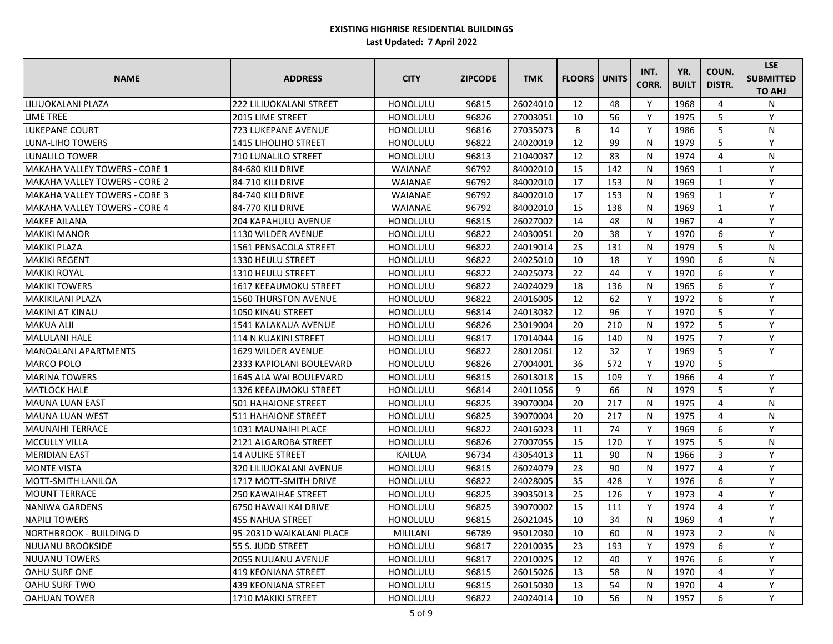| <b>NAME</b>                          | <b>ADDRESS</b>                 | <b>CITY</b>     | <b>ZIPCODE</b> | <b>TMK</b> | <b>FLOORS   UNITS</b> |     | INT.<br>CORR. | YR.<br><b>BUILT</b> | COUN.<br>DISTR. | <b>LSE</b><br><b>SUBMITTED</b><br><b>TO AHJ</b> |
|--------------------------------------|--------------------------------|-----------------|----------------|------------|-----------------------|-----|---------------|---------------------|-----------------|-------------------------------------------------|
| LILIUOKALANI PLAZA                   | <b>222 LILIUOKALANI STREET</b> | HONOLULU        | 96815          | 26024010   | 12                    | 48  | Y             | 1968                | 4               | N                                               |
| <b>LIME TREE</b>                     | <b>2015 LIME STREET</b>        | HONOLULU        | 96826          | 27003051   | 10                    | 56  | Y             | 1975                | 5               | Y                                               |
| <b>LUKEPANE COURT</b>                | 723 LUKEPANE AVENUE            | HONOLULU        | 96816          | 27035073   | 8                     | 14  | Y             | 1986                | 5               | N                                               |
| <b>LUNA-LIHO TOWERS</b>              | <b>1415 LIHOLIHO STREET</b>    | <b>HONOLULU</b> | 96822          | 24020019   | 12                    | 99  | N             | 1979                | 5               | Y                                               |
| LUNALILO TOWER                       | <b>710 LUNALILO STREET</b>     | <b>HONOLULU</b> | 96813          | 21040037   | 12                    | 83  | N             | 1974                | 4               | N                                               |
| MAKAHA VALLEY TOWERS - CORE 1        | 84-680 KILI DRIVE              | <b>WAIANAE</b>  | 96792          | 84002010   | 15                    | 142 | N             | 1969                | $\mathbf{1}$    | Y                                               |
| MAKAHA VALLEY TOWERS - CORE 2        | 84-710 KILI DRIVE              | <b>WAIANAE</b>  | 96792          | 84002010   | 17                    | 153 | N             | 1969                | 1               | Y                                               |
| <b>MAKAHA VALLEY TOWERS - CORE 3</b> | 84-740 KILI DRIVE              | WAIANAE         | 96792          | 84002010   | 17                    | 153 | N             | 1969                | $\mathbf{1}$    | Y                                               |
| <b>MAKAHA VALLEY TOWERS - CORE 4</b> | 84-770 KILI DRIVE              | WAIANAE         | 96792          | 84002010   | 15                    | 138 | N             | 1969                | $\mathbf{1}$    | Y                                               |
| <b>MAKEE AILANA</b>                  | <b>204 KAPAHULU AVENUE</b>     | HONOLULU        | 96815          | 26027002   | 14                    | 48  | N             | 1967                | 4               | Y                                               |
| <b>MAKIKI MANOR</b>                  | 1130 WILDER AVENUE             | HONOLULU        | 96822          | 24030051   | 20                    | 38  | Y             | 1970                | 6               | Y                                               |
| <b>MAKIKI PLAZA</b>                  | 1561 PENSACOLA STREET          | HONOLULU        | 96822          | 24019014   | 25                    | 131 | N             | 1979                | 5               | N                                               |
| <b>MAKIKI REGENT</b>                 | 1330 HEULU STREET              | <b>HONOLULU</b> | 96822          | 24025010   | 10                    | 18  | Y             | 1990                | 6               | N                                               |
| <b>MAKIKI ROYAL</b>                  | 1310 HEULU STREET              | HONOLULU        | 96822          | 24025073   | 22                    | 44  | Y             | 1970                | 6               | Y                                               |
| <b>MAKIKI TOWERS</b>                 | 1617 KEEAUMOKU STREET          | HONOLULU        | 96822          | 24024029   | 18                    | 136 | N             | 1965                | 6               | Y                                               |
| <b>MAKIKILANI PLAZA</b>              | <b>1560 THURSTON AVENUE</b>    | <b>HONOLULU</b> | 96822          | 24016005   | 12                    | 62  | Y             | 1972                | 6               | Y                                               |
| IMAKINI AT KINAU                     | 1050 KINAU STREET              | HONOLULU        | 96814          | 24013032   | 12                    | 96  | Y             | 1970                | 5               | Y                                               |
| <b>MAKUA ALII</b>                    | 1541 KALAKAUA AVENUE           | HONOLULU        | 96826          | 23019004   | 20                    | 210 | N             | 1972                | 5               | Y                                               |
| <b>MALULANI HALE</b>                 | 114 N KUAKINI STREET           | HONOLULU        | 96817          | 17014044   | 16                    | 140 | N             | 1975                | $\overline{7}$  | Y                                               |
| <b>MANOALANI APARTMENTS</b>          | 1629 WILDER AVENUE             | HONOLULU        | 96822          | 28012061   | 12                    | 32  | Y             | 1969                | 5               | Y                                               |
| <b>MARCO POLO</b>                    | 2333 KAPIOLANI BOULEVARD       | HONOLULU        | 96826          | 27004001   | 36                    | 572 | Y             | 1970                | 5               |                                                 |
| <b>MARINA TOWERS</b>                 | 1645 ALA WAI BOULEVARD         | HONOLULU        | 96815          | 26013018   | 15                    | 109 | Y             | 1966                | 4               | Y                                               |
| <b>MATLOCK HALE</b>                  | 1326 KEEAUMOKU STREET          | <b>HONOLULU</b> | 96814          | 24011056   | 9                     | 66  | N             | 1979                | 5               | Y                                               |
| MAUNA LUAN EAST                      | <b>501 HAHAIONE STREET</b>     | HONOLULU        | 96825          | 39070004   | 20                    | 217 | N             | 1975                | 4               | N                                               |
| <b>MAUNA LUAN WEST</b>               | <b>511 HAHAIONE STREET</b>     | HONOLULU        | 96825          | 39070004   | 20                    | 217 | N             | 1975                | 4               | N                                               |
| MAUNAIHI TERRACE                     | 1031 MAUNAIHI PLACE            | <b>HONOLULU</b> | 96822          | 24016023   | 11                    | 74  | Y             | 1969                | 6               | Y                                               |
| <b>MCCULLY VILLA</b>                 | 2121 ALGAROBA STREET           | HONOLULU        | 96826          | 27007055   | 15                    | 120 | Y             | 1975                | 5               | N                                               |
| <b>MERIDIAN EAST</b>                 | <b>14 AULIKE STREET</b>        | KAILUA          | 96734          | 43054013   | 11                    | 90  | N             | 1966                | $\mathbf{3}$    | Y                                               |
| <b>MONTE VISTA</b>                   | 320 LILIUOKALANI AVENUE        | HONOLULU        | 96815          | 26024079   | 23                    | 90  | N             | 1977                | 4               | Y                                               |
| MOTT-SMITH LANILOA                   | 1717 MOTT-SMITH DRIVE          | HONOLULU        | 96822          | 24028005   | 35                    | 428 | Y             | 1976                | 6               | Y                                               |
| <b>MOUNT TERRACE</b>                 | <b>250 KAWAIHAE STREET</b>     | <b>HONOLULU</b> | 96825          | 39035013   | 25                    | 126 | Y             | 1973                | 4               | Y                                               |
| NANIWA GARDENS                       | 6750 HAWAII KAI DRIVE          | HONOLULU        | 96825          | 39070002   | 15                    | 111 | Y             | 1974                | 4               | Υ                                               |
| <b>NAPILI TOWERS</b>                 | 455 NAHUA STREET               | HONOLULU        | 96815          | 26021045   | 10                    | 34  | N             | 1969                | 4               | Y                                               |
| <b>NORTHBROOK - BUILDING D</b>       | 95-2031D WAIKALANI PLACE       | MILILANI        | 96789          | 95012030   | 10                    | 60  | N             | 1973                | $\overline{2}$  | N                                               |
| NUUANU BROOKSIDE                     | 55 S. JUDD STREET              | HONOLULU        | 96817          | 22010035   | 23                    | 193 | Y             | 1979                | 6               | Y                                               |
| <b>NUUANU TOWERS</b>                 | 2055 NUUANU AVENUE             | <b>HONOLULU</b> | 96817          | 22010025   | 12                    | 40  | Y             | 1976                | 6               | Y                                               |
| <b>OAHU SURF ONE</b>                 | 419 KEONIANA STREET            | HONOLULU        | 96815          | 26015026   | 13                    | 58  | N             | 1970                | 4               | Y                                               |
| <b>OAHU SURF TWO</b>                 | 439 KEONIANA STREET            | HONOLULU        | 96815          | 26015030   | 13                    | 54  | N             | 1970                |                 | Y                                               |
| <b>OAHUAN TOWER</b>                  | 1710 MAKIKI STREET             | HONOLULU        | 96822          | 24024014   | 10                    | 56  | N             | 1957                | 6               | Y                                               |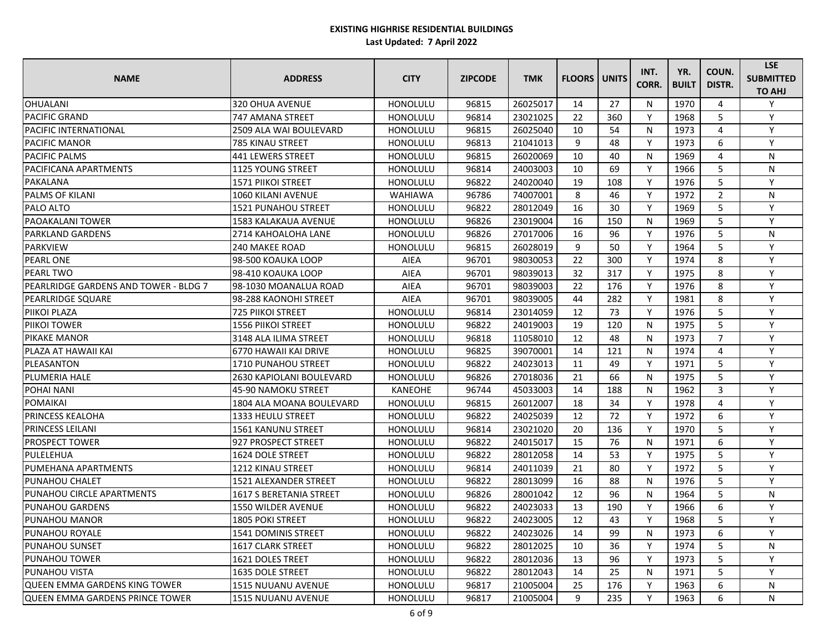| <b>NAME</b>                            | <b>ADDRESS</b>              | <b>CITY</b>     | <b>ZIPCODE</b> | <b>TMK</b> | <b>FLOORS</b> | <b>UNITS</b> | INT.<br>CORR. | YR.<br><b>BUILT</b> | COUN.<br>DISTR. | <b>LSE</b><br><b>SUBMITTED</b><br><b>TO AHJ</b> |
|----------------------------------------|-----------------------------|-----------------|----------------|------------|---------------|--------------|---------------|---------------------|-----------------|-------------------------------------------------|
| <b>OHUALANI</b>                        | 320 OHUA AVENUE             | <b>HONOLULU</b> | 96815          | 26025017   | 14            | 27           | N             | 1970                | 4               | Y                                               |
| <b>PACIFIC GRAND</b>                   | 747 AMANA STREET            | <b>HONOLULU</b> | 96814          | 23021025   | 22            | 360          | Y             | 1968                | 5               | Y                                               |
| <b>PACIFIC INTERNATIONAL</b>           | 2509 ALA WAI BOULEVARD      | <b>HONOLULU</b> | 96815          | 26025040   | 10            | 54           | N             | 1973                | 4               | Y                                               |
| <b>PACIFIC MANOR</b>                   | 785 KINAU STREET            | <b>HONOLULU</b> | 96813          | 21041013   | 9             | 48           | Y             | 1973                | 6               | Y                                               |
| IPACIFIC PALMS                         | <b>441 LEWERS STREET</b>    | HONOLULU        | 96815          | 26020069   | 10            | 40           | N             | 1969                | 4               | N                                               |
| <b>PACIFICANA APARTMENTS</b>           | <b>1125 YOUNG STREET</b>    | <b>HONOLULU</b> | 96814          | 24003003   | 10            | 69           | Y             | 1966                | 5               | N                                               |
| PAKALANA                               | <b>1571 PIIKOI STREET</b>   | <b>HONOLULU</b> | 96822          | 24020040   | 19            | 108          | Y             | 1976                | 5               | $\mathsf{v}$                                    |
| <b>PALMS OF KILANI</b>                 | 1060 KILANI AVENUE          | <b>WAHIAWA</b>  | 96786          | 74007001   | 8             | 46           | Y             | 1972                | $\overline{2}$  | N                                               |
| <b>PALO ALTO</b>                       | 1521 PUNAHOU STREET         | <b>HONOLULU</b> | 96822          | 28012049   | 16            | 30           | Y             | 1969                | 5               | Y                                               |
| <b>PAOAKALANI TOWER</b>                | <b>1583 KALAKAUA AVENUE</b> | HONOLULU        | 96826          | 23019004   | 16            | 150          | N             | 1969                | 5               | Y                                               |
| <b>PARKLAND GARDENS</b>                | 2714 KAHOALOHA LANE         | <b>HONOLULU</b> | 96826          | 27017006   | 16            | 96           | Y             | 1976                | 5               | N                                               |
| <b>PARKVIEW</b>                        | <b>240 MAKEE ROAD</b>       | <b>HONOLULU</b> | 96815          | 26028019   | 9             | 50           | Y             | 1964                | 5               | $\mathsf{v}$                                    |
| <b>PEARL ONE</b>                       | 98-500 KOAUKA LOOP          | <b>AIEA</b>     | 96701          | 98030053   | 22            | 300          | Y             | 1974                | 8               | Y                                               |
| <b>PEARL TWO</b>                       | 98-410 KOAUKA LOOP          | <b>AIEA</b>     | 96701          | 98039013   | 32            | 317          | Y             | 1975                | 8               | Y                                               |
| IPEARLRIDGE GARDENS AND TOWER - BLDG 7 | l98-1030 MOANALUA ROAD      | <b>AIEA</b>     | 96701          | 98039003   | 22            | 176          | Y             | 1976                | 8               | Y                                               |
| <b>PEARLRIDGE SQUARE</b>               | 98-288 KAONOHI STREET       | <b>AIEA</b>     | 96701          | 98039005   | 44            | 282          | Y             | 1981                | 8               | Y                                               |
| <b>PIIKOI PLAZA</b>                    | <b>725 PIIKOI STREET</b>    | <b>HONOLULU</b> | 96814          | 23014059   | 12            | 73           | Y             | 1976                | 5               | $\mathsf{v}$                                    |
| <b>PIIKOI TOWER</b>                    | <b>1556 PIIKOI STREET</b>   | <b>HONOLULU</b> | 96822          | 24019003   | 19            | 120          | N             | 1975                | 5               | Y                                               |
| <b>PIKAKE MANOR</b>                    | 3148 ALA ILIMA STREET       | <b>HONOLULU</b> | 96818          | 11058010   | 12            | 48           | N             | 1973                | $\overline{7}$  | Y                                               |
| IPLAZA AT HAWAII KAI                   | 6770 HAWAII KAI DRIVE       | <b>HONOLULU</b> | 96825          | 39070001   | 14            | 121          | N             | 1974                | 4               | Y                                               |
| PLEASANTON                             | <b>1710 PUNAHOU STREET</b>  | <b>HONOLULU</b> | 96822          | 24023013   | 11            | 49           | Y             | 1971                | 5               | Y                                               |
| <b>PLUMERIA HALE</b>                   | 2630 KAPIOLANI BOULEVARD    | <b>HONOLULU</b> | 96826          | 27018036   | 21            | 66           | N             | 1975                | 5               | Y                                               |
| <b>POHAI NANI</b>                      | 45-90 NAMOKU STREET         | <b>KANEOHE</b>  | 96744          | 45033003   | 14            | 188          | N             | 1962                | 3               | Y                                               |
| <b>POMAIKAI</b>                        | 1804 ALA MOANA BOULEVARD    | <b>HONOLULU</b> | 96815          | 26012007   | 18            | 34           | Y             | 1978                | 4               | Y                                               |
| <b>PRINCESS KEALOHA</b>                | <b>1333 HEULU STREET</b>    | HONOLULU        | 96822          | 24025039   | 12            | 72           | Y             | 1972                | 6               | Y                                               |
| <b>PRINCESS LEILANI</b>                | <b>1561 KANUNU STREET</b>   | <b>HONOLULU</b> | 96814          | 23021020   | 20            | 136          | Y             | 1970                | 5               | Y                                               |
| <b>PROSPECT TOWER</b>                  | 927 PROSPECT STREET         | <b>HONOLULU</b> | 96822          | 24015017   | 15            | 76           | N             | 1971                | 6               | Y                                               |
| PULELEHUA                              | 1624 DOLE STREET            | <b>HONOLULU</b> | 96822          | 28012058   | 14            | 53           | Υ             | 1975                | 5               | Y                                               |
| PUMEHANA APARTMENTS                    | 1212 KINAU STREET           | <b>HONOLULU</b> | 96814          | 24011039   | 21            | 80           | Υ             | 1972                | 5.              | Υ                                               |
| <b>PUNAHOU CHALET</b>                  | 1521 ALEXANDER STREET       | <b>HONOLULU</b> | 96822          | 28013099   | 16            | 88           | N             | 1976                | 5.              | $\vee$                                          |
| <b>PUNAHOU CIRCLE APARTMENTS</b>       | 1617 S BERETANIA STREET     | <b>HONOLULU</b> | 96826          | 28001042   | 12            | 96           | N             | 1964                | 5.              | N                                               |
| <b>PUNAHOU GARDENS</b>                 | 1550 WILDER AVENUE          | <b>HONOLULU</b> | 96822          | 24023033   | 13            | 190          | Y             | 1966                | 6               | Y                                               |
| <b>PUNAHOU MANOR</b>                   | <b>1805 POKI STREET</b>     | <b>HONOLULU</b> | 96822          | 24023005   | 12            | 43           | Y             | 1968                | 5               | Y                                               |
| <b>PUNAHOU ROYALE</b>                  | <b>1541 DOMINIS STREET</b>  | <b>HONOLULU</b> | 96822          | 24023026   | 14            | 99           | N             | 1973                | 6               | Y                                               |
| <b>PUNAHOU SUNSET</b>                  | <b>1617 CLARK STREET</b>    | <b>HONOLULU</b> | 96822          | 28012025   | 10            | 36           | Y             | 1974                | 5               | N                                               |
| <b>PUNAHOU TOWER</b>                   | <b>1621 DOLES TREET</b>     | <b>HONOLULU</b> | 96822          | 28012036   | 13            | 96           | Υ             | 1973                | 5.              |                                                 |
| <b>PUNAHOU VISTA</b>                   | 1635 DOLE STREET            | <b>HONOLULU</b> | 96822          | 28012043   | 14            | 25           | N             | 1971                | 5               | Y                                               |
| <b>QUEEN EMMA GARDENS KING TOWER</b>   | 1515 NUUANU AVENUE          | <b>HONOLULU</b> | 96817          | 21005004   | 25            | 176          | Y             | 1963                | 6               | N                                               |
| <b>QUEEN EMMA GARDENS PRINCE TOWER</b> | 1515 NUUANU AVENUE          | <b>HONOLULU</b> | 96817          | 21005004   | 9             | 235          | Y             | 1963                | 6               | N                                               |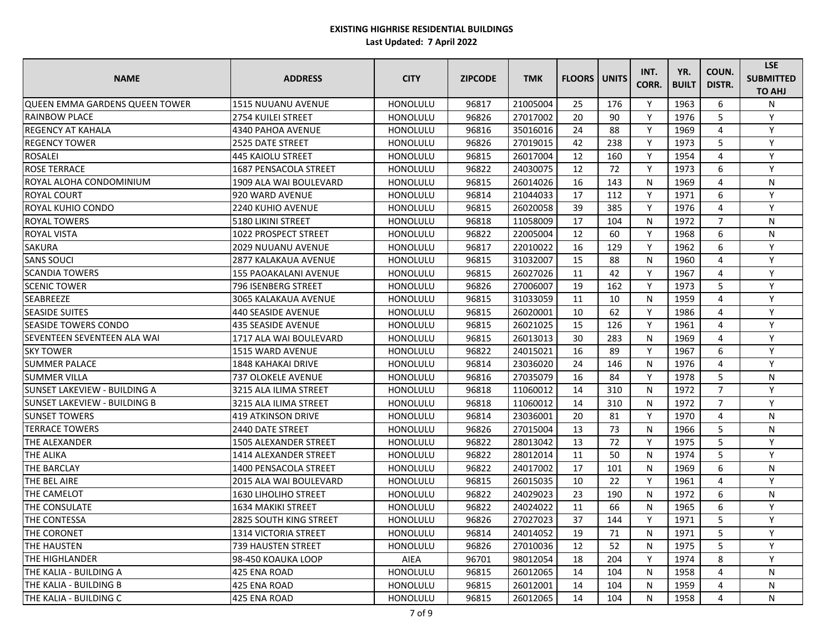| <b>NAME</b>                           | <b>ADDRESS</b>               | <b>CITY</b>     | <b>ZIPCODE</b> | <b>TMK</b> | <b>FLOORS</b> | <b>UNITS</b> | INT.<br>CORR. | YR.<br><b>BUILT</b> | COUN.<br>DISTR. | <b>LSE</b><br><b>SUBMITTED</b><br><b>TO AHJ</b> |
|---------------------------------------|------------------------------|-----------------|----------------|------------|---------------|--------------|---------------|---------------------|-----------------|-------------------------------------------------|
| <b>QUEEN EMMA GARDENS QUEEN TOWER</b> | <b>1515 NUUANU AVENUE</b>    | HONOLULU        | 96817          | 21005004   | 25            | 176          | Y             | 1963                | 6               | N                                               |
| <b>RAINBOW PLACE</b>                  | <b>2754 KUILEI STREET</b>    | <b>HONOLULU</b> | 96826          | 27017002   | 20            | 90           | Y             | 1976                | 5               | Y                                               |
| <b>REGENCY AT KAHALA</b>              | 4340 PAHOA AVENUE            | <b>HONOLULU</b> | 96816          | 35016016   | 24            | 88           | Y             | 1969                | 4               | Y                                               |
| <b>REGENCY TOWER</b>                  | <b>2525 DATE STREET</b>      | <b>HONOLULU</b> | 96826          | 27019015   | 42            | 238          | Y             | 1973                | 5               | Y                                               |
| <b>ROSALEI</b>                        | 445 KAIOLU STREET            | HONOLULU        | 96815          | 26017004   | 12            | 160          | Y             | 1954                | 4               | Y                                               |
| <b>ROSE TERRACE</b>                   | 1687 PENSACOLA STREET        | HONOLULU        | 96822          | 24030075   | 12            | 72           | Y             | 1973                | 6               | Y                                               |
| ROYAL ALOHA CONDOMINIUM               | 1909 ALA WAI BOULEVARD       | <b>HONOLULU</b> | 96815          | 26014026   | 16            | 143          | N             | 1969                | 4               | N                                               |
| <b>ROYAL COURT</b>                    | 920 WARD AVENUE              | <b>HONOLULU</b> | 96814          | 21044033   | 17            | 112          | Y             | 1971                | 6               | Y                                               |
| <b>ROYAL KUHIO CONDO</b>              | 2240 KUHIO AVENUE            | <b>HONOLULU</b> | 96815          | 26020058   | 39            | 385          | Y             | 1976                | 4               | Y                                               |
| <b>ROYAL TOWERS</b>                   | 5180 LIKINI STREET           | HONOLULU        | 96818          | 11058009   | 17            | 104          | N             | 1972                | $\overline{7}$  | N                                               |
| <b>ROYAL VISTA</b>                    | 1022 PROSPECT STREET         | HONOLULU        | 96822          | 22005004   | 12            | 60           | Y             | 1968                | 6               | ${\sf N}$                                       |
| <b>SAKURA</b>                         | 2029 NUUANU AVENUE           | <b>HONOLULU</b> | 96817          | 22010022   | 16            | 129          | Y             | 1962                | 6               | Y                                               |
| <b>SANS SOUCI</b>                     | 2877 KALAKAUA AVENUE         | <b>HONOLULU</b> | 96815          | 31032007   | 15            | 88           | N             | 1960                | 4               | Y                                               |
| <b>SCANDIA TOWERS</b>                 | <b>155 PAOAKALANI AVENUE</b> | <b>HONOLULU</b> | 96815          | 26027026   | 11            | 42           | Y             | 1967                | 4               | Y                                               |
| <b>SCENIC TOWER</b>                   | 796 ISENBERG STREET          | <b>HONOLULU</b> | 96826          | 27006007   | 19            | 162          | Y             | 1973                | 5               | Y                                               |
| <b>SEABREEZE</b>                      | <b>3065 KALAKAUA AVENUE</b>  | <b>HONOLULU</b> | 96815          | 31033059   | 11            | 10           | $\mathsf{N}$  | 1959                | 4               | Y                                               |
| <b>SEASIDE SUITES</b>                 | 440 SEASIDE AVENUE           | <b>HONOLULU</b> | 96815          | 26020001   | 10            | 62           | Y             | 1986                | 4               | Y                                               |
| <b>SEASIDE TOWERS CONDO</b>           | 435 SEASIDE AVENUE           | <b>HONOLULU</b> | 96815          | 26021025   | 15            | 126          | Y             | 1961                | 4               | Y                                               |
| <b>SEVENTEEN SEVENTEEN ALA WAI</b>    | 1717 ALA WAI BOULEVARD       | <b>HONOLULU</b> | 96815          | 26013013   | 30            | 283          | N             | 1969                | 4               | Y                                               |
| <b>SKY TOWER</b>                      | 1515 WARD AVENUE             | HONOLULU        | 96822          | 24015021   | 16            | 89           | Y             | 1967                | 6               | Y                                               |
| <b>SUMMER PALACE</b>                  | <b>1848 KAHAKAI DRIVE</b>    | HONOLULU        | 96814          | 23036020   | 24            | 146          | $\mathsf{N}$  | 1976                | 4               | Y                                               |
| <b>SUMMER VILLA</b>                   | <b>737 OLOKELE AVENUE</b>    | <b>HONOLULU</b> | 96816          | 27035079   | 16            | 84           | Y             | 1978                | 5               | N                                               |
| SUNSET LAKEVIEW - BUILDING A          | 3215 ALA ILIMA STREET        | <b>HONOLULU</b> | 96818          | 11060012   | 14            | 310          | N             | 1972                | $\overline{7}$  | Y                                               |
| <b>SUNSET LAKEVIEW - BUILDING B</b>   | 3215 ALA ILIMA STREET        | <b>HONOLULU</b> | 96818          | 11060012   | 14            | 310          | N             | 1972                | $\overline{7}$  | Y                                               |
| <b>SUNSET TOWERS</b>                  | 419 ATKINSON DRIVE           | HONOLULU        | 96814          | 23036001   | 20            | 81           | Y             | 1970                | 4               | ${\sf N}$                                       |
| <b>TERRACE TOWERS</b>                 | 2440 DATE STREET             | HONOLULU        | 96826          | 27015004   | 13            | 73           | $\mathsf{N}$  | 1966                | 5               | N                                               |
| <b>THE ALEXANDER</b>                  | 1505 ALEXANDER STREET        | HONOLULU        | 96822          | 28013042   | 13            | 72           | Y             | 1975                | 5               | Y                                               |
| <b>THE ALIKA</b>                      | 1414 ALEXANDER STREET        | <b>HONOLULU</b> | 96822          | 28012014   | 11            | 50           | N             | 1974                | 5               | Υ                                               |
| <b>THE BARCLAY</b>                    | 1400 PENSACOLA STREET        | <b>HONOLULU</b> | 96822          | 24017002   | 17            | 101          | N             | 1969                | 6               | N                                               |
| THE BEL AIRE                          | 2015 ALA WAI BOULEVARD       | <b>HONOLULU</b> | 96815          | 26015035   | 10            | 22           | Υ             | 1961                |                 |                                                 |
| THE CAMELOT                           | 1630 LIHOLIHO STREET         | HONOLULU        | 96822          | 24029023   | 23            | 190          | $\mathsf{N}$  | 1972                | 6               | N                                               |
| <b>THE CONSULATE</b>                  | 1634 MAKIKI STREET           | <b>HONOLULU</b> | 96822          | 24024022   | 11            | 66           | $\mathsf{N}$  | 1965                | 6               | Y                                               |
| THE CONTESSA                          | 2825 SOUTH KING STREET       | <b>HONOLULU</b> | 96826          | 27027023   | 37            | 144          | Y             | 1971                | 5.              | Y                                               |
| THE CORONET                           | 1314 VICTORIA STREET         | <b>HONOLULU</b> | 96814          | 24014052   | 19            | 71           | $\mathsf{N}$  | 1971                | 5               | Y                                               |
| THE HAUSTEN                           | 739 HAUSTEN STREET           | HONOLULU        | 96826          | 27010036   | 12            | 52           | N             | 1975                | 5               | Υ                                               |
| THE HIGHLANDER                        | 98-450 KOAUKA LOOP           | AIEA            | 96701          | 98012054   | 18            | 204          | Y             | 1974                | 8               | Y                                               |
| THE KALIA - BUILDING A                | 425 ENA ROAD                 | HONOLULU        | 96815          | 26012065   | 14            | 104          | N             | 1958                | 4               | N                                               |
| THE KALIA - BUILDING B                | 425 ENA ROAD                 | <b>HONOLULU</b> | 96815          | 26012001   | 14            | 104          | N             | 1959                | 4               | N                                               |
| THE KALIA - BUILDING C                | 425 ENA ROAD                 | <b>HONOLULU</b> | 96815          | 26012065   | 14            | 104          | N             | 1958                | 4               | N                                               |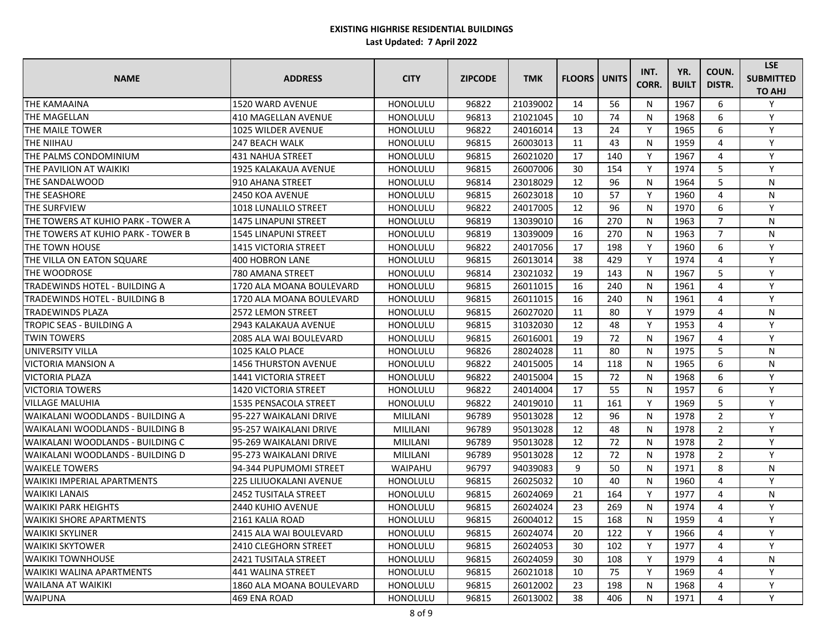| <b>NAME</b>                          | <b>ADDRESS</b>                 | <b>CITY</b>     | <b>ZIPCODE</b> | <b>TMK</b> | <b>FLOORS   UNITS</b> |     | INT.<br>CORR. | YR.<br><b>BUILT</b> | COUN.<br>DISTR. | <b>LSE</b><br><b>SUBMITTED</b><br><b>TO AHJ</b> |
|--------------------------------------|--------------------------------|-----------------|----------------|------------|-----------------------|-----|---------------|---------------------|-----------------|-------------------------------------------------|
| <b>THE KAMAAINA</b>                  | 1520 WARD AVENUE               | HONOLULU        | 96822          | 21039002   | 14                    | 56  | N             | 1967                | 6               | Y                                               |
| THE MAGELLAN                         | 410 MAGELLAN AVENUE            | HONOLULU        | 96813          | 21021045   | 10                    | 74  | N             | 1968                | 6               | Y                                               |
| THE MAILE TOWER                      | 1025 WILDER AVENUE             | <b>HONOLULU</b> | 96822          | 24016014   | 13                    | 24  | Y             | 1965                | 6               | Y                                               |
| THE NIIHAU                           | 247 BEACH WALK                 | <b>HONOLULU</b> | 96815          | 26003013   | 11                    | 43  | N             | 1959                | 4               | Y                                               |
| THE PALMS CONDOMINIUM                | 431 NAHUA STREET               | HONOLULU        | 96815          | 26021020   | 17                    | 140 | Y             | 1967                | 4               | Y                                               |
| THE PAVILION AT WAIKIKI              | 1925 KALAKAUA AVENUE           | HONOLULU        | 96815          | 26007006   | 30                    | 154 | Y             | 1974                | 5               | Y                                               |
| THE SANDALWOOD                       | 910 AHANA STREET               | HONOLULU        | 96814          | 23018029   | 12                    | 96  | N             | 1964                | 5               | N                                               |
| THE SEASHORE                         | 2450 KOA AVENUE                | <b>HONOLULU</b> | 96815          | 26023018   | 10                    | 57  | Y             | 1960                | 4               | N                                               |
| THE SURFVIEW                         | 1018 LUNALILO STREET           | <b>HONOLULU</b> | 96822          | 24017005   | 12                    | 96  | N             | 1970                | 6               | Y                                               |
| THE TOWERS AT KUHIO PARK - TOWER A   | 1475 LINAPUNI STREET           | HONOLULU        | 96819          | 13039010   | 16                    | 270 | N             | 1963                | $\overline{7}$  | N                                               |
| THE TOWERS AT KUHIO PARK - TOWER B   | 1545 LINAPUNI STREET           | HONOLULU        | 96819          | 13039009   | 16                    | 270 | N             | 1963                | $\overline{7}$  | N                                               |
| THE TOWN HOUSE                       | 1415 VICTORIA STREET           | HONOLULU        | 96822          | 24017056   | 17                    | 198 | Y             | 1960                | 6               | Y                                               |
| THE VILLA ON EATON SQUARE            | 400 HOBRON LANE                | <b>HONOLULU</b> | 96815          | 26013014   | 38                    | 429 | Y             | 1974                | 4               | Y                                               |
| THE WOODROSE                         | 780 AMANA STREET               | HONOLULU        | 96814          | 23021032   | 19                    | 143 | N             | 1967                | 5               | Y                                               |
| TRADEWINDS HOTEL - BUILDING A        | 1720 ALA MOANA BOULEVARD       | HONOLULU        | 96815          | 26011015   | 16                    | 240 | N             | 1961                | 4               | Y                                               |
| <b>TRADEWINDS HOTEL - BUILDING B</b> | 1720 ALA MOANA BOULEVARD       | HONOLULU        | 96815          | 26011015   | 16                    | 240 | N             | 1961                | 4               | Y                                               |
| <b>TRADEWINDS PLAZA</b>              | 2572 LEMON STREET              | HONOLULU        | 96815          | 26027020   | 11                    | 80  | Y             | 1979                | 4               | N                                               |
| <b>TROPIC SEAS - BUILDING A</b>      | 2943 KALAKAUA AVENUE           | <b>HONOLULU</b> | 96815          | 31032030   | 12                    | 48  | Y             | 1953                | 4               | Y                                               |
| <b>TWIN TOWERS</b>                   | 2085 ALA WAI BOULEVARD         | HONOLULU        | 96815          | 26016001   | 19                    | 72  | N             | 1967                | 4               | Y                                               |
| UNIVERSITY VILLA                     | 1025 KALO PLACE                | HONOLULU        | 96826          | 28024028   | 11                    | 80  | N             | 1975                | 5               | N                                               |
| <b>VICTORIA MANSION A</b>            | <b>1456 THURSTON AVENUE</b>    | HONOLULU        | 96822          | 24015005   | 14                    | 118 | N             | 1965                | 6               | N                                               |
| IVICTORIA PLAZA                      | 1441 VICTORIA STREET           | HONOLULU        | 96822          | 24015004   | 15                    | 72  | N             | 1968                | 6               | Y                                               |
| <b>NICTORIA TOWERS</b>               | 1420 VICTORIA STREET           | <b>HONOLULU</b> | 96822          | 24014004   | 17                    | 55  | N             | 1957                | 6               | $\mathsf{v}$                                    |
| <b>VILLAGE MALUHIA</b>               | 1535 PENSACOLA STREET          | HONOLULU        | 96822          | 24019010   | 11                    | 161 | Y             | 1969                | 5               | Y                                               |
| WAIKALANI WOODLANDS - BUILDING A     | 95-227 WAIKALANI DRIVE         | MILILANI        | 96789          | 95013028   | 12                    | 96  | N             | 1978                | $\overline{2}$  | Y                                               |
| WAIKALANI WOODLANDS - BUILDING B     | 95-257 WAIKALANI DRIVE         | MILILANI        | 96789          | 95013028   | 12                    | 48  | N             | 1978                | $\overline{2}$  | Y                                               |
| lWAIKALANI WOODLANDS - BUILDING C    | 95-269 WAIKALANI DRIVE         | MILILANI        | 96789          | 95013028   | 12                    | 72  | N             | 1978                | $\overline{2}$  | Y                                               |
| WAIKALANI WOODLANDS - BUILDING D     | 95-273 WAIKALANI DRIVE         | <b>MILILANI</b> | 96789          | 95013028   | 12                    | 72  | N             | 1978                | $\overline{2}$  | Y                                               |
| <b>WAIKELE TOWERS</b>                | 94-344 PUPUMOMI STREET         | WAIPAHU         | 96797          | 94039083   | 9                     | 50  | N             | 1971                | 8               | N                                               |
| <b>WAIKIKI IMPERIAL APARTMENTS</b>   | <b>225 LILIUOKALANI AVENUE</b> | HONOLULU        | 96815          | 26025032   | 10                    | 40  | N             | 1960                |                 | $\mathsf{v}$                                    |
| <b>WAIKIKI LANAIS</b>                | <b>2452 TUSITALA STREET</b>    | <b>HONOLULU</b> | 96815          | 26024069   | 21                    | 164 | Y             | 1977                | 4               | N                                               |
| <b>WAIKIKI PARK HEIGHTS</b>          | 2440 KUHIO AVENUE              | HONOLULU        | 96815          | 26024024   | 23                    | 269 | N             | 1974                | 4               | ٧                                               |
| <b>WAIKIKI SHORE APARTMENTS</b>      | 2161 KALIA ROAD                | HONOLULU        | 96815          | 26004012   | 15                    | 168 | N             | 1959                | 4               | Y                                               |
| <b>WAIKIKI SKYLINER</b>              | 2415 ALA WAI BOULEVARD         | <b>HONOLULU</b> | 96815          | 26024074   | 20                    | 122 | Y             | 1966                | 4               | Y                                               |
| <b>WAIKIKI SKYTOWER</b>              | 2410 CLEGHORN STREET           | HONOLULU        | 96815          | 26024053   | 30                    | 102 | Y             | 1977                | 4               | Y                                               |
| <b>WAIKIKI TOWNHOUSE</b>             | 2421 TUSITALA STREET           | HONOLULU        | 96815          | 26024059   | 30                    | 108 | Y             | 1979                | 4               | N                                               |
| <b>WAIKIKI WALINA APARTMENTS</b>     | 441 WALINA STREET              | HONOLULU        | 96815          | 26021018   | 10                    | 75  | Y             | 1969                | 4               | <b>V</b>                                        |
| <b>WAILANA AT WAIKIKI</b>            | 1860 ALA MOANA BOULEVARD       | HONOLULU        | 96815          | 26012002   | 23                    | 198 | N             | 1968                |                 | Y                                               |
| <b>WAIPUNA</b>                       | 469 ENA ROAD                   | HONOLULU        | 96815          | 26013002   | 38                    | 406 | N             | 1971                |                 | Y                                               |